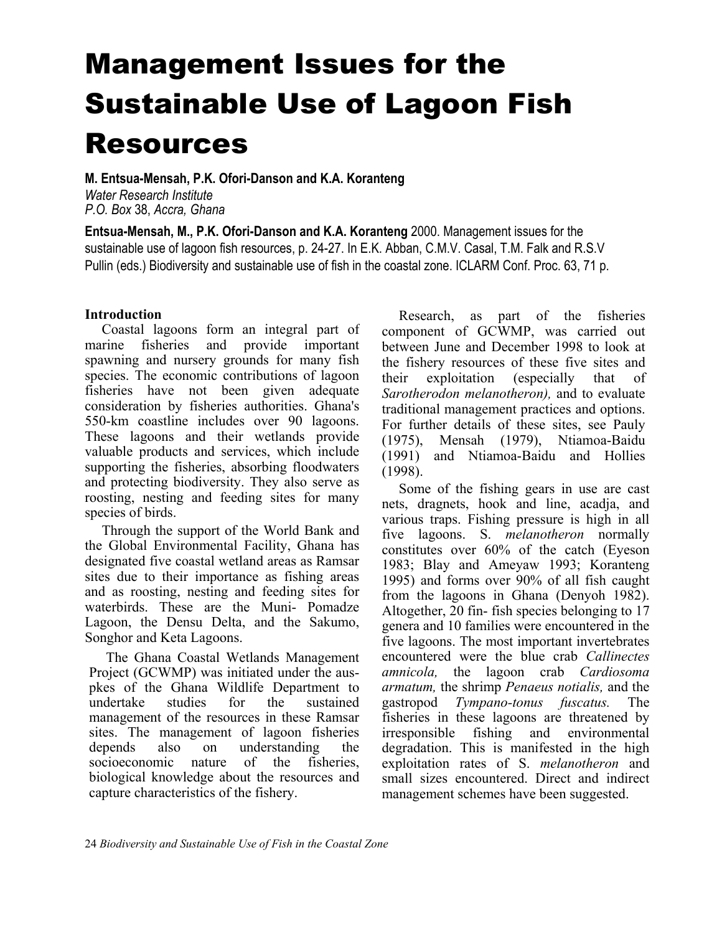# Management Issues for the Sustainable Use of Lagoon Fish Resources

**M. Entsua-Mensah, P.K. Ofori-Danson and K.A. Koranteng**  *Water Research Institute P.O. Box* 38, *Accra, Ghana* 

**Entsua-Mensah, M., P.K. Ofori-Danson and K.A. Koranteng** 2000. Management issues for the sustainable use of lagoon fish resources, p. 24-27. In E.K. Abban, C.M.V. Casal, T.M. Falk and R.S.V Pullin (eds.) Biodiversity and sustainable use of fish in the coastal zone. ICLARM Conf. Proc. 63, 71 p.

# **Introduction**

Coastal lagoons form an integral part of marine fisheries and provide important spawning and nursery grounds for many fish species. The economic contributions of lagoon fisheries have not been given adequate consideration by fisheries authorities. Ghana's 550-km coastline includes over 90 lagoons. These lagoons and their wetlands provide valuable products and services, which include supporting the fisheries, absorbing floodwaters and protecting biodiversity. They also serve as roosting, nesting and feeding sites for many species of birds.

Through the support of the World Bank and the Global Environmental Facility, Ghana has designated five coastal wetland areas as Ramsar sites due to their importance as fishing areas and as roosting, nesting and feeding sites for waterbirds. These are the Muni- Pomadze Lagoon, the Densu Delta, and the Sakumo, Songhor and Keta Lagoons.

The Ghana Coastal Wetlands Management Project (GCWMP) was initiated under the auspkes of the Ghana Wildlife Department to undertake studies for the sustained management of the resources in these Ramsar sites. The management of lagoon fisheries depends also on understanding the socioeconomic nature of the fisheries, biological knowledge about the resources and capture characteristics of the fishery.

Research, as part of the fisheries component of GCWMP, was carried out between June and December 1998 to look at the fishery resources of these five sites and their exploitation (especially that of *Sarotherodon melanotheron),* and to evaluate traditional management practices and options. For further details of these sites, see Pauly (1975), Mensah (1979), Ntiamoa-Baidu (1991) and Ntiamoa-Baidu and Hollies (1998).

Some of the fishing gears in use are cast nets, dragnets, hook and line, acadja, and various traps. Fishing pressure is high in all five lagoons. S. *melanotheron* normally constitutes over 60% of the catch (Eyeson 1983; Blay and Ameyaw 1993; Koranteng 1995) and forms over 90% of all fish caught from the lagoons in Ghana (Denyoh 1982). Altogether, 20 fin- fish species belonging to 17 genera and 10 families were encountered in the five lagoons. The most important invertebrates encountered were the blue crab *Callinectes amnicola,* the lagoon crab *Cardiosoma armatum,* the shrimp *Penaeus notialis,* and the gastropod *Tympano-tonus fuscatus.* The fisheries in these lagoons are threatened by irresponsible fishing and environmental degradation. This is manifested in the high exploitation rates of S. *melanotheron* and small sizes encountered. Direct and indirect management schemes have been suggested.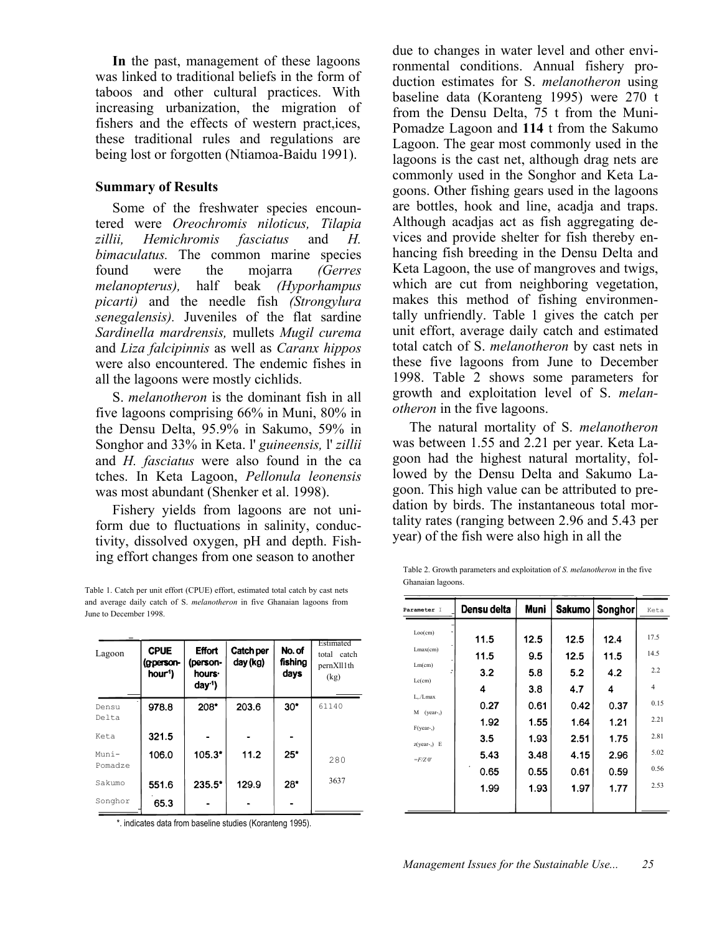**In** the past, management of these lagoons was linked to traditional beliefs in the form of taboos and other cultural practices. With increasing urbanization, the migration of fishers and the effects of western pract,ices, these traditional rules and regulations are being lost or forgotten (Ntiamoa-Baidu 1991).

### **Summary of Results**

Some of the freshwater species encountered were *Oreochromis niloticus, Tilapia zillii, Hemichromis fasciatus* and *H. bimaculatus.* The common marine species found were the mojarra *(Gerres melanopterus),* half beak *(Hyporhampus picarti)* and the needle fish *(Strongylura senegalensis).* Juveniles of the flat sardine *Sardinella mardrensis,* mullets *Mugil curema* and *Liza falcipinnis* as well as *Caranx hippos*  were also encountered. The endemic fishes in all the lagoons were mostly cichlids.

S. *melanotheron* is the dominant fish in all five lagoons comprising 66% in Muni, 80% in the Densu Delta, 95.9% in Sakumo, 59% in Songhor and 33% in Keta. l' *guineensis,* l' *zillii*  and *H. fasciatus* were also found in the ca tches. In Keta Lagoon, *Pellonula leonensis*  was most abundant (Shenker et al. 1998).

Fishery yields from lagoons are not uniform due to fluctuations in salinity, conductivity, dissolved oxygen, pH and depth. Fishing effort changes from one season to another

Table 1. Catch per unit effort (CPUE) effort, estimated total catch by cast nets and average daily catch of S. *melanotheron* in five Ghanaian lagoons from June to December 1998.

| Lagoon            | <b>CPUE</b><br>(gperson-<br>hour <sup>1</sup> ) | <b>Effort</b><br>(person-<br>hours.<br>day <sup>1</sup> | <b>Catch per</b><br>day (kg) | No. of<br>fishina<br>days | Estimated<br>total catch<br>pernXll1th<br>(kg) |
|-------------------|-------------------------------------------------|---------------------------------------------------------|------------------------------|---------------------------|------------------------------------------------|
| Densu<br>Delta    | 978.8                                           | 208"                                                    | 203.6                        | $30^*$                    | 61140                                          |
| Keta              | 321.5                                           |                                                         |                              |                           |                                                |
| Muni -<br>Pomadze | 106.0                                           | $105.3*$                                                | 11.2                         | 25"                       | 280                                            |
| Sakumo            | 551.6                                           | $235.5^*$                                               | 129.9                        | 28"                       | 3637                                           |
| Songhor           | 65.3                                            |                                                         |                              |                           |                                                |

\*. indicates data from baseline studies (Koranteng 1995).

due to changes in water level and other environmental conditions. Annual fishery production estimates for S. *melanotheron* using baseline data (Koranteng 1995) were 270 t from the Densu Delta, 75 t from the Muni-Pomadze Lagoon and **114** t from the Sakumo Lagoon. The gear most commonly used in the lagoons is the cast net, although drag nets are commonly used in the Songhor and Keta Lagoons. Other fishing gears used in the lagoons are bottles, hook and line, acadja and traps. Although acadjas act as fish aggregating devices and provide shelter for fish thereby enhancing fish breeding in the Densu Delta and Keta Lagoon, the use of mangroves and twigs, which are cut from neighboring vegetation, makes this method of fishing environmentally unfriendly. Table 1 gives the catch per unit effort, average daily catch and estimated total catch of S. *melanotheron* by cast nets in these five lagoons from June to December 1998. Table 2 shows some parameters for growth and exploitation level of S. *melanotheron* in the five lagoons.

The natural mortality of S. *melanotheron*  was between 1.55 and 2.21 per year. Keta Lagoon had the highest natural mortality, followed by the Densu Delta and Sakumo Lagoon. This high value can be attributed to predation by birds. The instantaneous total mortality rates (ranging between 2.96 and 5.43 per year) of the fish were also high in all the

Table 2. Growth parameters and exploitation of *S. melanotheron* in the five Ghanaian lagoons.

| Parameter I          | Densu delta  | Muni         | Sakumo       | <b>Songhor</b> | Keta           |
|----------------------|--------------|--------------|--------------|----------------|----------------|
| Loo(cm)              | 11.5         | 12.5         | 12.5         | 12.4           | 17.5           |
| Lmax(cm)             | 11.5         | 9.5          | 12.5         | 11.5           | 14.5           |
| $Lm$ (cm)            | 3.2          | 5.8          | 5.2          | 4.2            | 2.2            |
| $Lc$ (cm)<br>L./Lmax | 4            | 3.8          | 4.7          | 4              | $\overline{4}$ |
| $M$ (year-,)         | 0.27         | 0.61         | 0.42         | 0.37           | 0.15           |
| $F(vear-)$           | 1.92         | 1.55         | 1.64         | 1.21           | 2.21           |
| $z(year-) E$         | 3.5          | 1.93         | 2.51         | 1.75           | 2.81<br>5.02   |
| $=F/Z$ 0'            | 5.43         | 3.48<br>0.55 | 4.15         | 2.96           | 0.56           |
|                      | 0.65<br>1.99 | 1.93         | 0.61<br>1.97 | 0.59<br>1.77   | 2.53           |
|                      |              |              |              |                |                |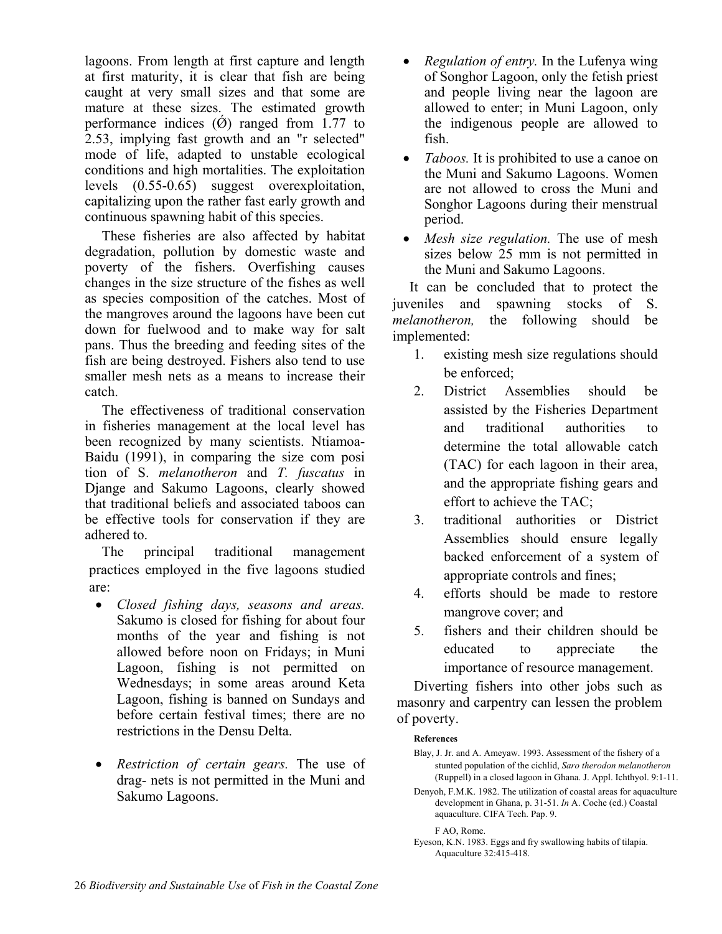lagoons. From length at first capture and length at first maturity, it is clear that fish are being caught at very small sizes and that some are mature at these sizes. The estimated growth performance indices  $(\phi)$  ranged from 1.77 to 2.53, implying fast growth and an "r selected" mode of life, adapted to unstable ecological conditions and high mortalities. The exploitation levels (0.55-0.65) suggest overexploitation, capitalizing upon the rather fast early growth and continuous spawning habit of this species.

These fisheries are also affected by habitat degradation, pollution by domestic waste and poverty of the fishers. Overfishing causes changes in the size structure of the fishes as well as species composition of the catches. Most of the mangroves around the lagoons have been cut down for fuelwood and to make way for salt pans. Thus the breeding and feeding sites of the fish are being destroyed. Fishers also tend to use smaller mesh nets as a means to increase their catch.

The effectiveness of traditional conservation in fisheries management at the local level has been recognized by many scientists. Ntiamoa-Baidu (1991), in comparing the size com posi tion of S. *melanotheron* and *T. fuscatus* in Djange and Sakumo Lagoons, clearly showed that traditional beliefs and associated taboos can be effective tools for conservation if they are adhered to.

The principal traditional management practices employed in the five lagoons studied are:

- *Closed fishing days, seasons and areas.*  Sakumo is closed for fishing for about four months of the year and fishing is not allowed before noon on Fridays; in Muni Lagoon, fishing is not permitted on Wednesdays; in some areas around Keta Lagoon, fishing is banned on Sundays and before certain festival times; there are no restrictions in the Densu Delta.
- *Restriction of certain gears.* The use of drag- nets is not permitted in the Muni and Sakumo Lagoons.
- *Regulation of entry.* In the Lufenya wing of Songhor Lagoon, only the fetish priest and people living near the lagoon are allowed to enter; in Muni Lagoon, only the indigenous people are allowed to fish.
- *Taboos.* It is prohibited to use a canoe on the Muni and Sakumo Lagoons. Women are not allowed to cross the Muni and Songhor Lagoons during their menstrual period.
- *Mesh size regulation*. The use of mesh sizes below 25 mm is not permitted in the Muni and Sakumo Lagoons.

It can be concluded that to protect the juveniles and spawning stocks of S. *melanotheron,* the following should be implemented:

- 1. existing mesh size regulations should be enforced;
- 2. District Assemblies should be assisted by the Fisheries Department and traditional authorities to determine the total allowable catch (TAC) for each lagoon in their area, and the appropriate fishing gears and effort to achieve the TAC;
- 3. traditional authorities or District Assemblies should ensure legally backed enforcement of a system of appropriate controls and fines;
- 4. efforts should be made to restore mangrove cover; and
- 5. fishers and their children should be educated to appreciate the importance of resource management.

Diverting fishers into other jobs such as masonry and carpentry can lessen the problem of poverty.

#### **References**

- Blay, J. Jr. and A. Ameyaw. 1993. Assessment of the fishery of a stunted population of the cichlid, *Saro therodon melanotheron*  (Ruppell) in a closed lagoon in Ghana. J. Appl. Ichthyol. 9:1-11.
- Denyoh, F.M.K. 1982. The utilization of coastal areas for aquaculture development in Ghana, p. 31-51. *In* A. Coche (ed.) Coastal aquaculture. CIFA Tech. Pap. 9.

F AO, Rome.

Eyeson, K.N. 1983. Eggs and fry swallowing habits of tilapia. Aquaculture 32:415-418.